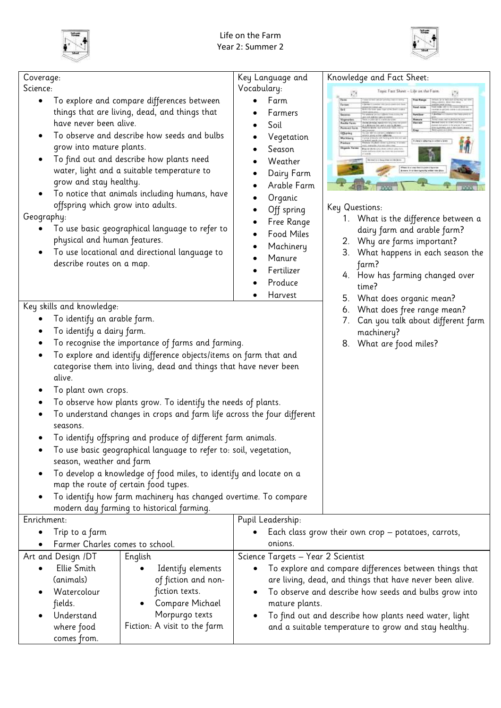



| Coverage:                                                                                                                                                                                                                                                                                                                                                                                                                                                                                                                                                                                            |                                                                                                                                        | Key Language and                                                                                                                                                                                            | Knowledge and Fact Sheet:                                                                                                                                                                                                                    |  |  |
|------------------------------------------------------------------------------------------------------------------------------------------------------------------------------------------------------------------------------------------------------------------------------------------------------------------------------------------------------------------------------------------------------------------------------------------------------------------------------------------------------------------------------------------------------------------------------------------------------|----------------------------------------------------------------------------------------------------------------------------------------|-------------------------------------------------------------------------------------------------------------------------------------------------------------------------------------------------------------|----------------------------------------------------------------------------------------------------------------------------------------------------------------------------------------------------------------------------------------------|--|--|
|                                                                                                                                                                                                                                                                                                                                                                                                                                                                                                                                                                                                      |                                                                                                                                        |                                                                                                                                                                                                             |                                                                                                                                                                                                                                              |  |  |
| Science:<br>To explore and compare differences between<br>things that are living, dead, and things that<br>have never been alive.<br>To observe and describe how seeds and bulbs<br>grow into mature plants.<br>To find out and describe how plants need<br>water, light and a suitable temperature to<br>grow and stay healthy.<br>To notice that animals including humans, have<br>offspring which grow into adults.<br>Geography:<br>To use basic geographical language to refer to<br>physical and human features.<br>To use locational and directional language to<br>describe routes on a map. |                                                                                                                                        | Vocabulary:<br>Farm<br>Farmers<br>Soil<br>Vegetation<br>Season<br>Weather<br>Dairy Farm<br>Arable Farm<br>Organic<br>Off spring<br>Free Range<br>Food Miles<br>Machinery<br>Manure<br>Fertilizer<br>Produce | Tupic Fast Sheet - Life on the Farm<br>Key Questions:<br>1. What is the difference between a<br>dairy farm and arable farm?<br>2. Why are farms important?<br>3. What happens in each season the<br>farm?<br>4. How has farming changed over |  |  |
|                                                                                                                                                                                                                                                                                                                                                                                                                                                                                                                                                                                                      |                                                                                                                                        | Harvest                                                                                                                                                                                                     | time?                                                                                                                                                                                                                                        |  |  |
| Key skills and knowledge:                                                                                                                                                                                                                                                                                                                                                                                                                                                                                                                                                                            |                                                                                                                                        |                                                                                                                                                                                                             | 5. What does organic mean?<br>6. What does free range mean?                                                                                                                                                                                  |  |  |
| To identify an arable farm.                                                                                                                                                                                                                                                                                                                                                                                                                                                                                                                                                                          |                                                                                                                                        |                                                                                                                                                                                                             | 7. Can you talk about different farm                                                                                                                                                                                                         |  |  |
| To identify a dairy farm.                                                                                                                                                                                                                                                                                                                                                                                                                                                                                                                                                                            |                                                                                                                                        | machinery?                                                                                                                                                                                                  |                                                                                                                                                                                                                                              |  |  |
|                                                                                                                                                                                                                                                                                                                                                                                                                                                                                                                                                                                                      | To recognise the importance of farms and farming.                                                                                      |                                                                                                                                                                                                             | 8. What are food miles?                                                                                                                                                                                                                      |  |  |
| alive.                                                                                                                                                                                                                                                                                                                                                                                                                                                                                                                                                                                               | To explore and identify difference objects/items on farm that and<br>categorise them into living, dead and things that have never been |                                                                                                                                                                                                             |                                                                                                                                                                                                                                              |  |  |
| To plant own crops.                                                                                                                                                                                                                                                                                                                                                                                                                                                                                                                                                                                  |                                                                                                                                        |                                                                                                                                                                                                             |                                                                                                                                                                                                                                              |  |  |
|                                                                                                                                                                                                                                                                                                                                                                                                                                                                                                                                                                                                      | To observe how plants grow. To identify the needs of plants.                                                                           |                                                                                                                                                                                                             |                                                                                                                                                                                                                                              |  |  |
|                                                                                                                                                                                                                                                                                                                                                                                                                                                                                                                                                                                                      | To understand changes in crops and farm life across the four different                                                                 |                                                                                                                                                                                                             |                                                                                                                                                                                                                                              |  |  |
| seasons.                                                                                                                                                                                                                                                                                                                                                                                                                                                                                                                                                                                             |                                                                                                                                        |                                                                                                                                                                                                             |                                                                                                                                                                                                                                              |  |  |
|                                                                                                                                                                                                                                                                                                                                                                                                                                                                                                                                                                                                      | To identify offspring and produce of different farm animals.                                                                           |                                                                                                                                                                                                             |                                                                                                                                                                                                                                              |  |  |
| season, weather and farm                                                                                                                                                                                                                                                                                                                                                                                                                                                                                                                                                                             | To use basic geographical language to refer to: soil, vegetation,                                                                      |                                                                                                                                                                                                             |                                                                                                                                                                                                                                              |  |  |
| To develop a knowledge of food miles, to identify and locate on a                                                                                                                                                                                                                                                                                                                                                                                                                                                                                                                                    |                                                                                                                                        |                                                                                                                                                                                                             |                                                                                                                                                                                                                                              |  |  |
|                                                                                                                                                                                                                                                                                                                                                                                                                                                                                                                                                                                                      | map the route of certain food types.                                                                                                   |                                                                                                                                                                                                             |                                                                                                                                                                                                                                              |  |  |
| To identify how farm machinery has changed overtime. To compare                                                                                                                                                                                                                                                                                                                                                                                                                                                                                                                                      |                                                                                                                                        |                                                                                                                                                                                                             |                                                                                                                                                                                                                                              |  |  |
| modern day farming to historical farming.                                                                                                                                                                                                                                                                                                                                                                                                                                                                                                                                                            |                                                                                                                                        |                                                                                                                                                                                                             |                                                                                                                                                                                                                                              |  |  |
| Enrichment:                                                                                                                                                                                                                                                                                                                                                                                                                                                                                                                                                                                          |                                                                                                                                        | Pupil Leadership:                                                                                                                                                                                           |                                                                                                                                                                                                                                              |  |  |
| Trip to a farm                                                                                                                                                                                                                                                                                                                                                                                                                                                                                                                                                                                       |                                                                                                                                        |                                                                                                                                                                                                             | Each class grow their own crop – potatoes, carrots,                                                                                                                                                                                          |  |  |
| Farmer Charles comes to school.                                                                                                                                                                                                                                                                                                                                                                                                                                                                                                                                                                      |                                                                                                                                        | onions.                                                                                                                                                                                                     |                                                                                                                                                                                                                                              |  |  |
| Art and Design /DT<br>Ellie Smith                                                                                                                                                                                                                                                                                                                                                                                                                                                                                                                                                                    | English                                                                                                                                | Science Targets - Year 2 Scientist                                                                                                                                                                          |                                                                                                                                                                                                                                              |  |  |
| (animals)                                                                                                                                                                                                                                                                                                                                                                                                                                                                                                                                                                                            | Identify elements<br>of fiction and non-                                                                                               |                                                                                                                                                                                                             | To explore and compare differences between things that<br>are living, dead, and things that have never been alive.                                                                                                                           |  |  |
| Watercolour                                                                                                                                                                                                                                                                                                                                                                                                                                                                                                                                                                                          | fiction texts.                                                                                                                         |                                                                                                                                                                                                             | To observe and describe how seeds and bulbs grow into                                                                                                                                                                                        |  |  |
| fields.                                                                                                                                                                                                                                                                                                                                                                                                                                                                                                                                                                                              | Compare Michael                                                                                                                        | mature plants.                                                                                                                                                                                              |                                                                                                                                                                                                                                              |  |  |
| Understand                                                                                                                                                                                                                                                                                                                                                                                                                                                                                                                                                                                           | Morpurgo texts                                                                                                                         | To find out and describe how plants need water, light                                                                                                                                                       |                                                                                                                                                                                                                                              |  |  |
| where food                                                                                                                                                                                                                                                                                                                                                                                                                                                                                                                                                                                           | Fiction: A visit to the farm                                                                                                           |                                                                                                                                                                                                             | and a suitable temperature to grow and stay healthy.                                                                                                                                                                                         |  |  |
| comes from.                                                                                                                                                                                                                                                                                                                                                                                                                                                                                                                                                                                          |                                                                                                                                        |                                                                                                                                                                                                             |                                                                                                                                                                                                                                              |  |  |